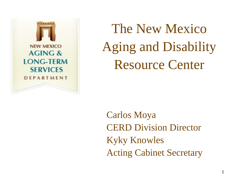

The New Mexico Aging and Disability Resource Center

Carlos Moya CERD Division Director Kyky Knowles Acting Cabinet Secretary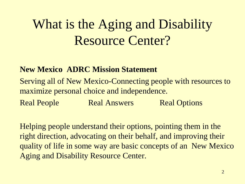# What is the Aging and Disability Resource Center?

#### **New Mexico ADRC Mission Statement**

Serving all of New Mexico-Connecting people with resources to maximize personal choice and independence.

Real People Real Answers Real Options

Helping people understand their options, pointing them in the right direction, advocating on their behalf, and improving their quality of life in some way are basic concepts of an New Mexico Aging and Disability Resource Center.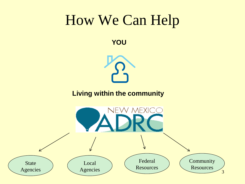**YOU** 



**Living within the community** 

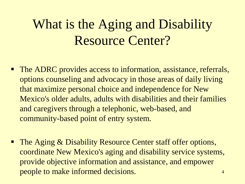# What is the Aging and Disability Resource Center?

- The ADRC provides access to information, assistance, referrals, options counseling and advocacy in those areas of daily living that maximize personal choice and independence for New Mexico's older adults, adults with disabilities and their families and caregivers through a telephonic, web-based, and community-based point of entry system.
- The Aging & Disability Resource Center staff offer options, coordinate New Mexico's aging and disability service systems, provide objective information and assistance, and empower people to make informed decisions.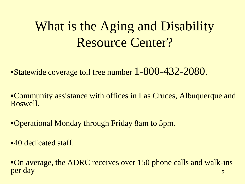# What is the Aging and Disability Resource Center?

**Statewide coverage toll free number 1-800-432-2080.** 

Community assistance with offices in Las Cruces, Albuquerque and Roswell.

Operational Monday through Friday 8am to 5pm.

**-40 dedicated staff.** 

On average, the ADRC receives over 150 phone calls and walk-ins per day  $\frac{5}{5}$ per day the set of the set of the set of the set of the set of the set of the set of the set of the set of the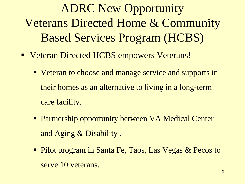ADRC New Opportunity Veterans Directed Home & Community Based Services Program (HCBS)

- Veteran Directed HCBS empowers Veterans!
	- Veteran to choose and manage service and supports in their homes as an alternative to living in a long-term care facility.
	- **Partnership opportunity between VA Medical Center** and Aging & Disability .
	- Pilot program in Santa Fe, Taos, Las Vegas & Pecos to serve 10 veterans.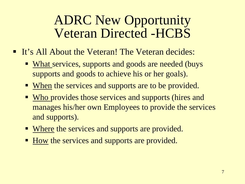#### Veteran Directed -HCBS ADRC New Opportunity

- **It's All About the Veteran! The Veteran decides:** 
	- What services, supports and goods are needed (buys supports and goods to achieve his or her goals).
	- When the services and supports are to be provided.
	- Who provides those services and supports (hires and manages his/her own Employees to provide the services and supports).
	- Where the services and supports are provided.
	- How the services and supports are provided.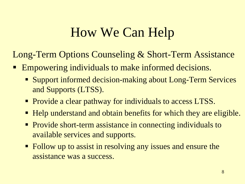Long-Term Options Counseling & Short-Term Assistance

- Empowering individuals to make informed decisions.
	- Support informed decision-making about Long-Term Services and Supports (LTSS).
	- **Provide a clear pathway for individuals to access LTSS.**
	- Help understand and obtain benefits for which they are eligible.
	- **Provide short-term assistance in connecting individuals to** available services and supports.
	- Follow up to assist in resolving any issues and ensure the assistance was a success.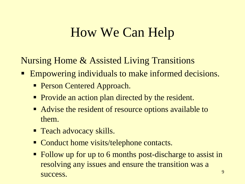Nursing Home & Assisted Living Transitions

- **Empowering individuals to make informed decisions.** 
	- **Person Centered Approach.**
	- Provide an action plan directed by the resident.
	- Advise the resident of resource options available to them.
	- **Teach advocacy skills.**
	- Conduct home visits/telephone contacts.
	- Follow up for up to 6 months post-discharge to assist in resolving any issues and ensure the transition was a success. The contract of the contract of the contract of the contract of the contract of the contract of the contract of the contract of the contract of the contract of the contract of the contract of the contract of the c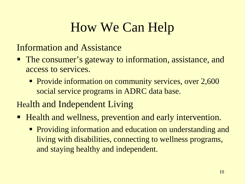Information and Assistance

- The consumer's gateway to information, assistance, and access to services.
	- **Provide information on community services, over 2,600** social service programs in ADRC data base.
- Health and Independent Living
- Health and wellness, prevention and early intervention.
	- **Providing information and education on understanding and** living with disabilities, connecting to wellness programs, and staying healthy and independent.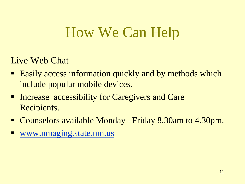Live Web Chat

- Easily access information quickly and by methods which include popular mobile devices.
- **Increase accessibility for Caregivers and Care** Recipients.
- Counselors available Monday Friday 8.30am to 4.30pm.
- [www.nmaging.state.nm.us](http://www.nmaging.state.nm.us/)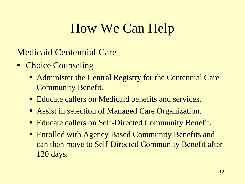Medicaid Centennial Care

- Choice Counseling
	- Administer the Central Registry for the Centennial Care Community Benefit.
	- Educate callers on Medicaid benefits and services.
	- **Assist in selection of Managed Care Organization.**
	- Educate callers on Self-Directed Community Benefit.
	- Enrolled with Agency Based Community Benefits and can then move to Self-Directed Community Benefit after 120 days.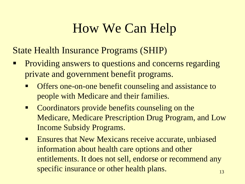State Health Insurance Programs (SHIP)

- **Providing answers to questions and concerns regarding** private and government benefit programs.
	- **Offers one-on-one benefit counseling and assistance to** people with Medicare and their families.
	- Coordinators provide benefits counseling on the Medicare, Medicare Prescription Drug Program, and Low Income Subsidy Programs.
	- **Ensures that New Mexicans receive accurate, unbiased** information about health care options and other entitlements. It does not sell, endorse or recommend any specific insurance or other health plans.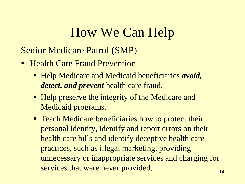Senior Medicare Patrol (SMP)

- Health Care Fraud Prevention
	- Help Medicare and Medicaid beneficiaries *avoid*, *detect, and prevent* health care fraud.
	- Help preserve the integrity of the Medicare and Medicaid programs.
	- **Teach Medicare beneficiaries how to protect their** personal identity, identify and report errors on their health care bills and identify deceptive health care practices, such as illegal marketing, providing unnecessary or inappropriate services and charging for services that were never provided.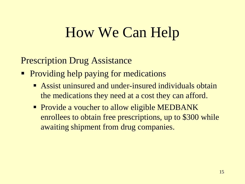Prescription Drug Assistance

- **Providing help paying for medications** 
	- Assist uninsured and under-insured individuals obtain the medications they need at a cost they can afford.
	- **Provide a voucher to allow eligible MEDBANK** enrollees to obtain free prescriptions, up to \$300 while awaiting shipment from drug companies.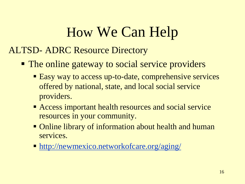#### ALTSD- ADRC Resource Directory

- The online gateway to social service providers
	- **Easy way to access up-to-date, comprehensive services** offered by national, state, and local social service providers.
	- **Access important health resources and social service** resources in your community.
	- Online library of information about health and human services.
	- <http://newmexico.networkofcare.org/aging/>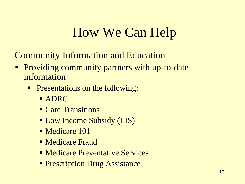Community Information and Education

- **Providing community partners with up-to-date** information
	- **Presentations on the following:** 
		- **ADRC**
		- **Care Transitions**
		- **Low Income Subsidy (LIS)**
		- Medicare 101
		- **Nedicare Fraud**
		- Medicare Preventative Services
		- **Prescription Drug Assistance**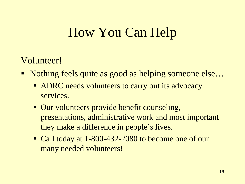## How You Can Help

Volunteer!

- Nothing feels quite as good as helping someone else...
	- ADRC needs volunteers to carry out its advocacy services.
	- Our volunteers provide benefit counseling, presentations, administrative work and most important they make a difference in people's lives.
	- Call today at 1-800-432-2080 to become one of our many needed volunteers!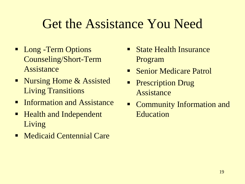## Get the Assistance You Need

- Long -Term Options Counseling/Short-Term Assistance
- Nursing Home & Assisted Living Transitions
- **F** Information and Assistance
- Health and Independent Living
- **Medicaid Centennial Care**
- **State Health Insurance** Program
- **Senior Medicare Patrol**
- **Prescription Drug** Assistance
- **Example 1** Community Information and **Education**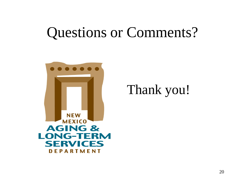# Questions or Comments?



Thank you!